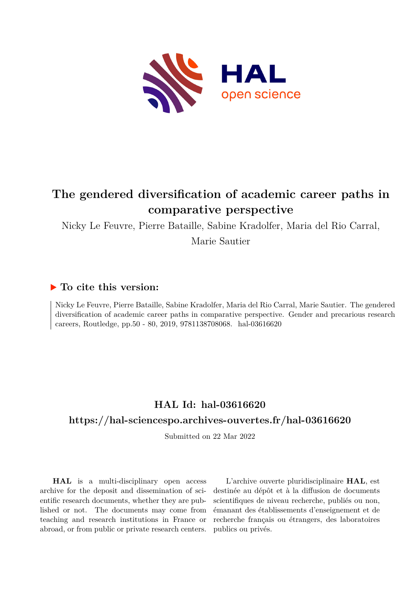

# **The gendered diversification of academic career paths in comparative perspective**

Nicky Le Feuvre, Pierre Bataille, Sabine Kradolfer, Maria del Rio Carral,

Marie Sautier

# **To cite this version:**

Nicky Le Feuvre, Pierre Bataille, Sabine Kradolfer, Maria del Rio Carral, Marie Sautier. The gendered diversification of academic career paths in comparative perspective. Gender and precarious research careers, Routledge, pp.50 - 80, 2019, 9781138708068. hal-03616620

# **HAL Id: hal-03616620**

# **<https://hal-sciencespo.archives-ouvertes.fr/hal-03616620>**

Submitted on 22 Mar 2022

**HAL** is a multi-disciplinary open access archive for the deposit and dissemination of scientific research documents, whether they are published or not. The documents may come from teaching and research institutions in France or abroad, or from public or private research centers.

L'archive ouverte pluridisciplinaire **HAL**, est destinée au dépôt et à la diffusion de documents scientifiques de niveau recherche, publiés ou non, émanant des établissements d'enseignement et de recherche français ou étrangers, des laboratoires publics ou privés.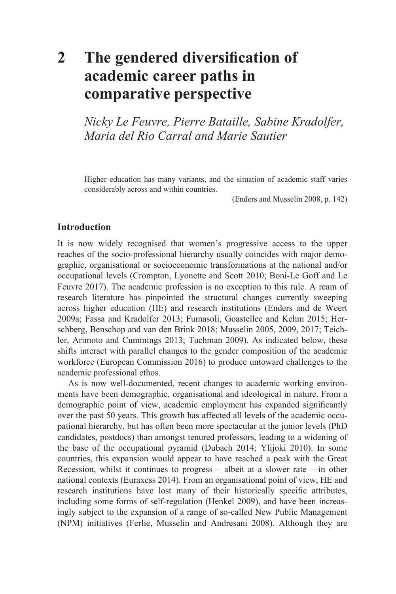# **2 The gendered [diversification](#page--1-0) of [academic](#page--1-0) career paths in [comparative](#page--1-0) perspective**

*Nicky Le Feuvre, Pierre Bataille, Sabine Kradolfer, Maria del Rio Carral and Marie Sautier*

Higher education has many variants, and the situation of academic staff varies considerably across and within countries.

(Enders and Musselin 2008, p. 142)

# **Introduction**

It is now widely recognised that women's progressive access to the upper reaches of the socio-professional hierarchy usually coincides with major demographic, organisational or socioeconomic transformations at the national and/or occupational levels (Crompton, Lyonette and Scott 2010; Boni-Le Goff and Le Feuvre 2017). The academic profession is no exception to this rule. A ream of research literature has pinpointed the structural changes currently sweeping across higher education (HE) and research institutions (Enders and de Weert 2009a; Fassa and Kradolfer 2013; Fumasoli, Goastellec and Kehm 2015; Herschberg, Benschop and van den Brink 2018; Musselin 2005, 2009, 2017; Teichler, Arimoto and Cummings 2013; Tuchman 2009). As indicated below, these shifts interact with parallel changes to the gender composition of the academic workforce (European Commission 2016) to produce untoward challenges to the academic professional ethos.

As is now well-documented, recent changes to academic working environments have been demographic, organisational and ideological in nature. From a demographic point of view, academic employment has expanded significantly over the past 50 years. This growth has affected all levels of the academic occupational hierarchy, but has often been more spectacular at the junior levels (PhD candidates, postdocs) than amongst tenured professors, leading to a widening of the base of the occupational pyramid (Dubach 2014; Ylijoki 2010). In some countries, this expansion would appear to have reached a peak with the Great Recession, whilst it continues to progress – albeit at a slower rate – in other national contexts (Euraxess 2014). From an organisational point of view, HE and research institutions have lost many of their historically specific attributes, including some forms of self-regulation (Henkel 2009), and have been increasingly subject to the expansion of a range of so-called New Public Management (NPM) initiatives (Ferlie, Musselin and Andresani 2008). Although they are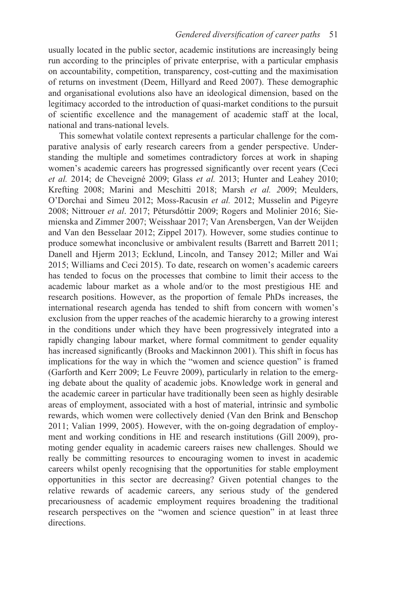usually located in the public sector, academic institutions are increasingly being run according to the principles of private enterprise, with a particular emphasis on accountability, competition, transparency, cost-cutting and the maximisation of returns on investment (Deem, Hillyard and Reed 2007). These demographic and organisational evolutions also have an ideological dimension, based on the legitimacy accorded to the introduction of quasi-market conditions to the pursuit of scientific excellence and the management of academic staff at the local, national and trans-national levels.

This somewhat volatile context represents a particular challenge for the comparative analysis of early research careers from a gender perspective. Understanding the multiple and sometimes contradictory forces at work in shaping women's academic careers has progressed significantly over recent years (Ceci *et al.* 2014; de Cheveigné 2009; Glass *et al.* 2013; Hunter and Leahey 2010; Krefting 2008; Marini and Meschitti 2018; Marsh *et al. 2*009; Meulders, O'Dorchai and Simeu 2012; Moss-Racusin *et al.* 2012; Musselin and Pigeyre 2008; Nittrouer *et al*. 2017; Pétursdóttir 2009; Rogers and Molinier 2016; Siemienska and Zimmer 2007; Weisshaar 2017; Van Arensbergen, Van der Weijden and Van den Besselaar 2012; Zippel 2017). However, some studies continue to produce somewhat inconclusive or ambivalent results (Barrett and Barrett 2011; Danell and Hjerm 2013; Ecklund, Lincoln, and Tansey 2012; Miller and Wai 2015; Williams and Ceci 2015). To date, research on women's academic careers has tended to focus on the processes that combine to limit their access to the academic labour market as a whole and/or to the most prestigious HE and research positions. However, as the proportion of female PhDs increases, the international research agenda has tended to shift from concern with women's exclusion from the upper reaches of the academic hierarchy to a growing interest in the conditions under which they have been progressively integrated into a rapidly changing labour market, where formal commitment to gender equality has increased significantly (Brooks and Mackinnon 2001). This shift in focus has implications for the way in which the "women and science question" is framed (Garforth and Kerr 2009; Le Feuvre 2009), particularly in relation to the emerging debate about the quality of academic jobs. Knowledge work in general and the academic career in particular have traditionally been seen as highly desirable areas of employment, associated with a host of material, intrinsic and symbolic rewards, which women were collectively denied (Van den Brink and Benschop 2011; Valian 1999, 2005). However, with the on-going degradation of employment and working conditions in HE and research institutions (Gill 2009), promoting gender equality in academic careers raises new challenges. Should we really be committing resources to encouraging women to invest in academic careers whilst openly recognising that the opportunities for stable employment opportunities in this sector are decreasing? Given potential changes to the relative rewards of academic careers, any serious study of the gendered precariousness of academic employment requires broadening the traditional research perspectives on the "women and science question" in at least three directions.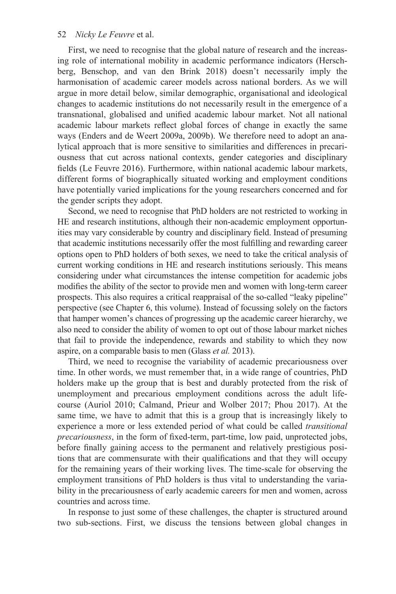First, we need to recognise that the global nature of research and the increasing role of international mobility in academic performance indicators (Herschberg, Benschop, and van den Brink 2018) doesn't necessarily imply the harmonisation of academic career models across national borders. As we will argue in more detail below, similar demographic, organisational and ideological changes to academic institutions do not necessarily result in the emergence of a transnational, globalised and unified academic labour market. Not all national academic labour markets reflect global forces of change in exactly the same ways (Enders and de Weert 2009a, 2009b). We therefore need to adopt an analytical approach that is more sensitive to similarities and differences in precariousness that cut across national contexts, gender categories and disciplinary fields (Le Feuvre 2016). Furthermore, within national academic labour markets, different forms of biographically situated working and employment conditions have potentially varied implications for the young researchers concerned and for the gender scripts they adopt.

Second, we need to recognise that PhD holders are not restricted to working in HE and research institutions, although their non-academic employment opportunities may vary considerable by country and disciplinary field. Instead of presuming that academic institutions necessarily offer the most fulfilling and rewarding career options open to PhD holders of both sexes, we need to take the critical analysis of current working conditions in HE and research institutions seriously. This means considering under what circumstances the intense competition for academic jobs modifies the ability of the sector to provide men and women with long-term career prospects. This also requires a critical reappraisal of the so-called "leaky pipeline" perspective [\(see Chapter 6](#page--1-0), this volume). Instead of focussing solely on the factors that hamper women's chances of progressing up the academic career hierarchy, we also need to consider the ability of women to opt out of those labour market niches that fail to provide the independence, rewards and stability to which they now aspire, on a comparable basis to men (Glass *et al.* 2013).

Third, we need to recognise the variability of academic precariousness over time. In other words, we must remember that, in a wide range of countries, PhD holders make up the group that is best and durably protected from the risk of unemployment and precarious employment conditions across the adult lifecourse (Auriol 2010; Calmand, Prieur and Wolber 2017; Phou 2017). At the same time, we have to admit that this is a group that is increasingly likely to experience a more or less extended period of what could be called *transitional precariousness*, in the form of fixed-term, part-time, low paid, unprotected jobs, before finally gaining access to the permanent and relatively prestigious positions that are commensurate with their qualifications and that they will occupy for the remaining years of their working lives. The time-scale for observing the employment transitions of PhD holders is thus vital to understanding the variability in the precariousness of early academic careers for men and women, across countries and across time.

In response to just some of these challenges, the chapter is structured around two sub-sections. First, we discuss the tensions between global changes in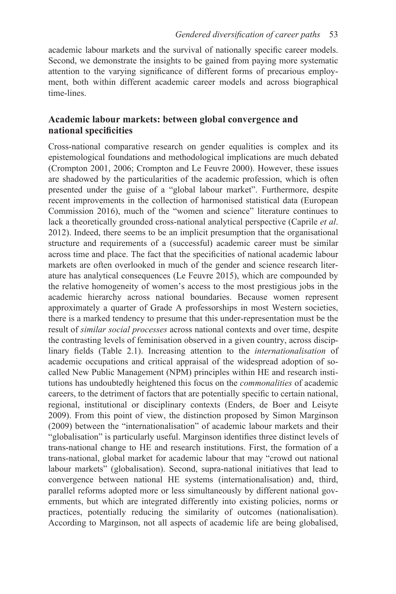academic labour markets and the survival of nationally specific career models. Second, we demonstrate the insights to be gained from paying more systematic attention to the varying significance of different forms of precarious employment, both within different academic career models and across biographical time-lines.

# **Academic labour markets: between global convergence and national specificities**

Cross-national comparative research on gender equalities is complex and its epistemological foundations and methodological implications are much debated (Crompton 2001, 2006; Crompton and Le Feuvre 2000). However, these issues are shadowed by the particularities of the academic profession, which is often presented under the guise of a "global labour market". Furthermore, despite recent improvements in the collection of harmonised statistical data (European Commission 2016), much of the "women and science" literature continues to lack a theoretically grounded cross-national analytical perspective (Caprile *et al*. 2012). Indeed, there seems to be an implicit presumption that the organisational structure and requirements of a (successful) academic career must be similar across time and place. The fact that the specificities of national academic labour markets are often overlooked in much of the gender and science research literature has analytical consequences (Le Feuvre 2015), which are compounded by the relative homogeneity of women's access to the most prestigious jobs in the academic hierarchy across national boundaries. Because women represent approximately a quarter of Grade A professorships in most Western societies, there is a marked tendency to presume that this under-representation must be the result of *similar social processes* across national contexts and over time, despite the contrasting levels of feminisation observed in a given country, across disciplinary fields [\(Table 2.1\)](#page--1-0). Increasing attention to the *internationalisation* of academic occupations and critical appraisal of the widespread adoption of socalled New Public Management (NPM) principles within HE and research institutions has undoubtedly heightened this focus on the *commonalities* of academic careers, to the detriment of factors that are potentially specific to certain national, regional, institutional or disciplinary contexts (Enders, de Boer and Leisyte 2009). From this point of view, the distinction proposed by Simon Marginson (2009) between the "internationalisation" of academic labour markets and their "globalisation" is particularly useful. Marginson identifies three distinct levels of trans-national change to HE and research institutions. First, the formation of a trans-national, global market for academic labour that may "crowd out national labour markets" (globalisation). Second, supra-national initiatives that lead to convergence between national HE systems (internationalisation) and, third, parallel reforms adopted more or less simultaneously by different national governments, but which are integrated differently into existing policies, norms or practices, potentially reducing the similarity of outcomes (nationalisation). According to Marginson, not all aspects of academic life are being globalised,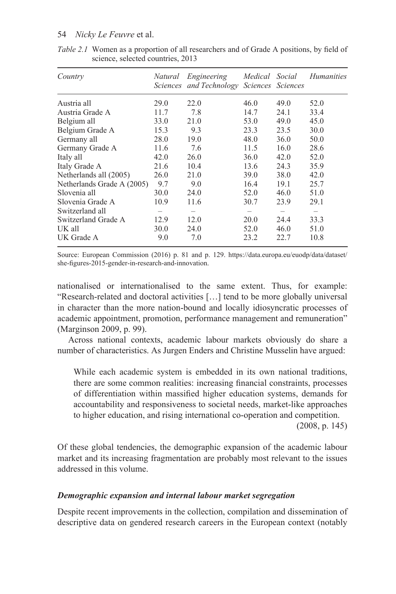| Country                    | Natural | Engineering                      | Medical Social |                 | <i>Humanities</i> |  |
|----------------------------|---------|----------------------------------|----------------|-----------------|-------------------|--|
|                            |         | Sciences and Technology Sciences |                | <i>Sciences</i> |                   |  |
| Austria all                | 29.0    | 22.0                             | 46.0           | 49.0            | 52.0              |  |
| Austria Grade A            | 11.7    | 7.8                              | 14.7           | 24.1            | 33.4              |  |
| Belgium all                | 33.0    | 21.0                             | 53.0           | 49.0            | 45.0              |  |
| Belgium Grade A            | 15.3    | 9.3                              | 23.3           | 23.5            | 30.0              |  |
| Germany all                | 28.0    | 19.0                             | 48.0           | 36.0            | 50.0              |  |
| Germany Grade A            | 11.6    | 7.6                              | 11.5           | 16.0            | 28.6              |  |
| Italy all                  | 42.0    | 26.0                             | 36.0           | 42.0            | 52.0              |  |
| Italy Grade A              | 21.6    | 10.4                             | 13.6           | 24.3            | 35.9              |  |
| Netherlands all (2005)     | 26.0    | 21.0                             | 39.0           | 38.0            | 42.0              |  |
| Netherlands Grade A (2005) | 9.7     | 9.0                              | 16.4           | 19.1            | 25.7              |  |
| Slovenia all               | 30.0    | 24.0                             | 52.0           | 46.0            | 51.0              |  |
| Slovenia Grade A           | 10.9    | 11.6                             | 30.7           | 23.9            | 29.1              |  |
| Switzerland all            |         |                                  |                |                 |                   |  |
| Switzerland Grade A        | 12.9    | 12.0                             | 20.0           | 24.4            | 33.3              |  |
| UK all                     | 30.0    | 24.0                             | 52.0           | 46.0            | 51.0              |  |
| UK Grade A                 | 9.0     | 7.0                              | 23.2           | 22.7            | 10.8              |  |

*[Table 2.1](#page--1-0)* Women as a proportion of all researchers and of Grade A positions, by field of science, selected countries, 2013

Source: European Commission (2016) p. 81 and p. 129. [https://data.europa.eu/euodp/data/dataset/](https://data.europa.eu) [she-figures-2015-gender-in-research-and-innovation.](https://data.europa.eu)

nationalised or internationalised to the same extent. Thus, for example: "Research-related and doctoral activities […] tend to be more globally universal in character than the more nation-bound and locally idiosyncratic processes of academic appointment, promotion, performance management and remuneration" (Marginson 2009, p. 99).

Across national contexts, academic labour markets obviously do share a number of characteristics. As Jurgen Enders and Christine Musselin have argued:

While each academic system is embedded in its own national traditions, there are some common realities: increasing financial constraints, processes of differentiation within massified higher education systems, demands for accountability and responsiveness to societal needs, market-like approaches to higher education, and rising international co-operation and competition.

(2008, p. 145)

Of these global tendencies, the demographic expansion of the academic labour market and its increasing fragmentation are probably most relevant to the issues addressed in this volume.

# *Demographic expansion and internal labour market segregation*

Despite recent improvements in the collection, compilation and dissemination of descriptive data on gendered research careers in the European context (notably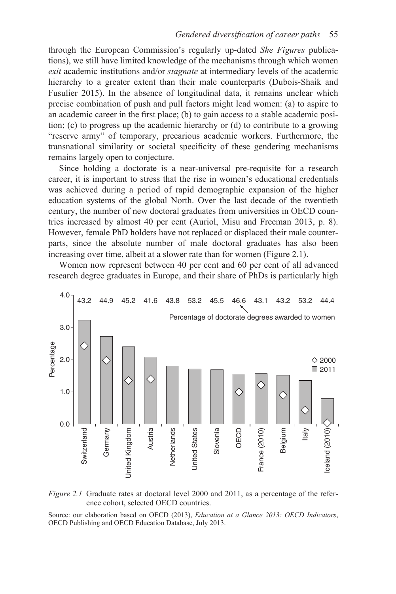through the European Commission's regularly up-dated *She Figures* publications), we still have limited knowledge of the mechanisms through which women *exit* academic institutions and/or *stagnate* at intermediary levels of the academic hierarchy to a greater extent than their male counterparts (Dubois-Shaik and Fusulier 2015). In the absence of longitudinal data, it remains unclear which precise combination of push and pull factors might lead women: (a) to aspire to an academic career in the first place; (b) to gain access to a stable academic position; (c) to progress up the academic hierarchy or (d) to contribute to a growing "reserve army" of temporary, precarious academic workers. Furthermore, the transnational similarity or societal specificity of these gendering mechanisms remains largely open to conjecture.

Since holding a doctorate is a near-universal pre-requisite for a research career, it is important to stress that the rise in women's educational credentials was achieved during a period of rapid demographic expansion of the higher education systems of the global North. Over the last decade of the twentieth century, the number of new doctoral graduates from universities in OECD countries increased by almost 40 per cent (Auriol, Misu and Freeman 2013, p. 8). However, female PhD holders have not replaced or displaced their male counterparts, since the absolute number of male doctoral graduates has also been increasing over time, albeit at a slower rate than for women [\(Figure](#page--1-0) 2.1).

Women now represent between 40 per cent and 60 per cent of all advanced research degree graduates in Europe, and their share of PhDs is particularly high



*[Figure 2.1](#page--1-0)* Graduate rates at doctoral level 2000 and 2011, as a percentage of the reference cohort, selected OECD countries.

Source: our elaboration based on OECD (2013), *Education at a Glance 2013: OECD Indicators*, OECD Publishing and OECD Education Database, July 2013.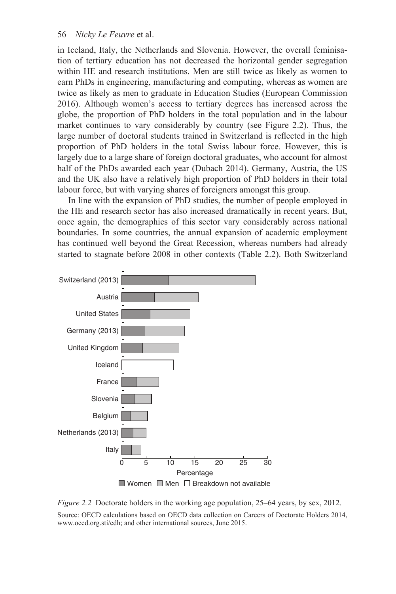in Iceland, Italy, the Netherlands and Slovenia. However, the overall feminisation of tertiary education has not decreased the horizontal gender segregation within HE and research institutions. Men are still twice as likely as women to earn PhDs in engineering, manufacturing and computing, whereas as women are twice as likely as men to graduate in Education Studies (European Commission 2016). Although women's access to tertiary degrees has increased across the globe, the proportion of PhD holders in the total population and in the labour market continues to vary considerably by country [\(see Figure 2.2](#page--1-0)). Thus, the large number of doctoral students trained in Switzerland is reflected in the high proportion of PhD holders in the total Swiss labour force. However, this is largely due to a large share of foreign doctoral graduates, who account for almost half of the PhDs awarded each year (Dubach 2014). Germany, Austria, the US and the UK also have a relatively high proportion of PhD holders in their total labour force, but with varying shares of foreigners amongst this group.

In line with the expansion of PhD studies, the number of people employed in the HE and research sector has also increased dramatically in recent years. But, once again, the demographics of this sector vary considerably across national boundaries. In some countries, the annual expansion of academic employment has continued well beyond the Great Recession, whereas numbers had already started to stagnate before 2008 in other contexts ([Table 2.2](#page--1-0)). Both Switzerland



 $\Box$  Women  $\Box$  Men  $\Box$  Breakdown not available

*[Figure 2.2](#page--1-0)* Doctorate holders in the working age population, 25–64 years, by sex, 2012.

Source: OECD calculations based on OECD data collection on Careers of Doctorate Holders 2014, [www.oecd.org.sti/cdh](http://www.oecd.org.sti); and other international sources, June 2015.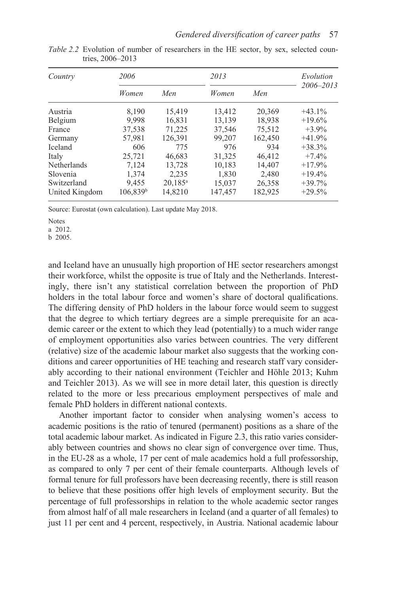| Country            | 2006                 |            | 2013    | Evolution |           |  |
|--------------------|----------------------|------------|---------|-----------|-----------|--|
|                    | Women                | Men        | Women   | Men       | 2006–2013 |  |
| Austria            | 8,190                | 15,419     | 13,412  | 20,369    | $+43.1%$  |  |
| Belgium            | 9,998                | 16,831     | 13,139  | 18,938    | $+19.6%$  |  |
| France             | 37,538               | 71,225     | 37,546  | 75.512    | $+3.9\%$  |  |
| Germany            | 57,981               | 126,391    | 99,207  | 162.450   | $+41.9%$  |  |
| <b>Iceland</b>     | 606                  | 775        | 976     | 934       | $+38.3%$  |  |
| Italy              | 25,721               | 46,683     | 31,325  | 46.412    | $+7.4%$   |  |
| <b>Netherlands</b> | 7,124                | 13,728     | 10,183  | 14.407    | $+17.9%$  |  |
| Slovenia           | 1,374                | 2,235      | 1,830   | 2,480     | $+19.4%$  |  |
| Switzerland        | 9,455                | $20,185^a$ | 15,037  | 26,358    | $+39.7%$  |  |
| United Kingdom     | 106,839 <sup>b</sup> | 14,8210    | 147,457 | 182,925   | $+29.5%$  |  |

*[Table 2.2](#page--1-0)* Evolution of number of researchers in the HE sector, by sex, selected countries, 2006–2013

Source: Eurostat (own calculation). Last update May 2018.

a 2012.

b 2005.

and Iceland have an unusually high proportion of HE sector researchers amongst their workforce, whilst the opposite is true of Italy and the Netherlands. Interestingly, there isn't any statistical correlation between the proportion of PhD holders in the total labour force and women's share of doctoral qualifications. The differing density of PhD holders in the labour force would seem to suggest that the degree to which tertiary degrees are a simple prerequisite for an academic career or the extent to which they lead (potentially) to a much wider range of employment opportunities also varies between countries. The very different (relative) size of the academic labour market also suggests that the working conditions and career opportunities of HE teaching and research staff vary considerably according to their national environment (Teichler and Höhle 2013; Kuhm and Teichler 2013). As we will see in more detail later, this question is directly related to the more or less precarious employment perspectives of male and female PhD holders in different national contexts.

Another important factor to consider when analysing women's access to academic positions is the ratio of tenured (permanent) positions as a share of the total academic labour market. As indicated in [Figure 2.3](#page--1-0), this ratio varies considerably between countries and shows no clear sign of convergence over time. Thus, in the EU-28 as a whole, 17 per cent of male academics hold a full professorship, as compared to only 7 per cent of their female counterparts. Although levels of formal tenure for full professors have been decreasing recently, there is still reason to believe that these positions offer high levels of employment security. But the percentage of full professorships in relation to the whole academic sector ranges from almost half of all male researchers in Iceland (and a quarter of all females) to just 11 per cent and 4 percent, respectively, in Austria. National academic labour

Notes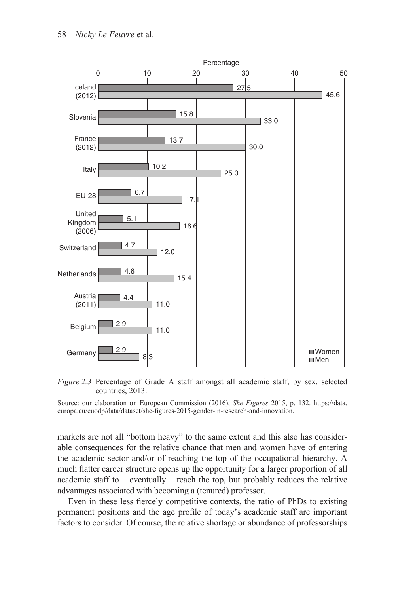

*[Figure 2.3](#page--1-0)* Percentage of Grade A staff amongst all academic staff, by sex, selected countries, 2013.

Source: our elaboration on European Commission (2016), *She Figures* 2015, p. 132. [https://data.](https://data.europa.eu) [europa.eu/euodp/data/dataset/she-figures-2015-gender-in-research-and-innovation](https://data.europa.eu).

markets are not all "bottom heavy" to the same extent and this also has considerable consequences for the relative chance that men and women have of entering the academic sector and/or of reaching the top of the occupational hierarchy. A much flatter career structure opens up the opportunity for a larger proportion of all academic staff to – eventually – reach the top, but probably reduces the relative advantages associated with becoming a (tenured) professor.

Even in these less fiercely competitive contexts, the ratio of PhDs to existing permanent positions and the age profile of today's academic staff are important factors to consider. Of course, the relative shortage or abundance of professorships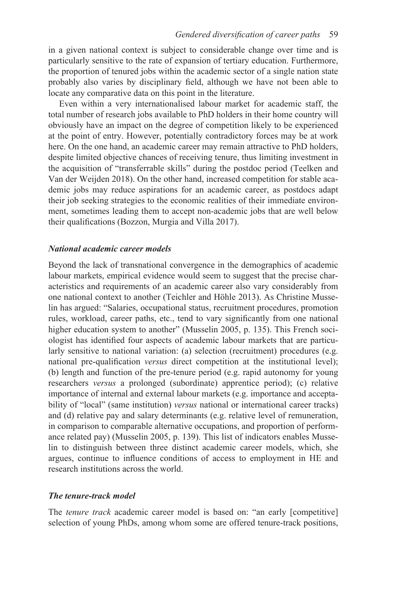in a given national context is subject to considerable change over time and is particularly sensitive to the rate of expansion of tertiary education. Furthermore, the proportion of tenured jobs within the academic sector of a single nation state probably also varies by disciplinary field, although we have not been able to locate any comparative data on this point in the literature.

Even within a very internationalised labour market for academic staff, the total number of research jobs available to PhD holders in their home country will obviously have an impact on the degree of competition likely to be experienced at the point of entry. However, potentially contradictory forces may be at work here. On the one hand, an academic career may remain attractive to PhD holders, despite limited objective chances of receiving tenure, thus limiting investment in the acquisition of "transferrable skills" during the postdoc period (Teelken and Van der Weijden 2018). On the other hand, increased competition for stable academic jobs may reduce aspirations for an academic career, as postdocs adapt their job seeking strategies to the economic realities of their immediate environment, sometimes leading them to accept non-academic jobs that are well below their qualifications (Bozzon, Murgia and Villa 2017).

## *National academic career models*

Beyond the lack of transnational convergence in the demographics of academic labour markets, empirical evidence would seem to suggest that the precise characteristics and requirements of an academic career also vary considerably from one national context to another (Teichler and Höhle 2013). As Christine Musselin has argued: "Salaries, occupational status, recruitment procedures, promotion rules, workload, career paths, etc., tend to vary significantly from one national higher education system to another" (Musselin 2005, p. 135). This French sociologist has identified four aspects of academic labour markets that are particularly sensitive to national variation: (a) selection (recruitment) procedures (e.g. national pre-qualification *versus* direct competition at the institutional level); (b) length and function of the pre-tenure period (e.g. rapid autonomy for young researchers *versus* a prolonged (subordinate) apprentice period); (c) relative importance of internal and external labour markets (e.g. importance and acceptability of "local" (same institution) *versus* national or international career tracks) and (d) relative pay and salary determinants (e.g. relative level of remuneration, in comparison to comparable alternative occupations, and proportion of performance related pay) (Musselin 2005, p. 139). This list of indicators enables Musselin to distinguish between three distinct academic career models, which, she argues, continue to influence conditions of access to employment in HE and research institutions across the world.

#### *The tenure-track model*

The *tenure track* academic career model is based on: "an early [competitive] selection of young PhDs, among whom some are offered tenure-track positions,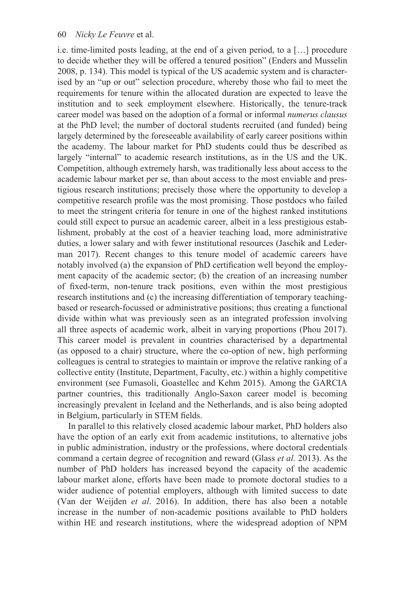i.e. time-limited posts leading, at the end of a given period, to a […] procedure to decide whether they will be offered a tenured position" (Enders and Musselin 2008, p. 134). This model is typical of the US academic system and is characterised by an "up or out" selection procedure, whereby those who fail to meet the requirements for tenure within the allocated duration are expected to leave the institution and to seek employment elsewhere. Historically, the tenure-track career model was based on the adoption of a formal or informal *numerus clausus* at the PhD level; the number of doctoral students recruited (and funded) being largely determined by the foreseeable availability of early career positions within the academy. The labour market for PhD students could thus be described as largely "internal" to academic research institutions, as in the US and the UK. Competition, although extremely harsh, was traditionally less about access to the academic labour market per se, than about access to the most enviable and prestigious research institutions; precisely those where the opportunity to develop a competitive research profile was the most promising. Those postdocs who failed to meet the stringent criteria for tenure in one of the highest ranked institutions could still expect to pursue an academic career, albeit in a less prestigious establishment, probably at the cost of a heavier teaching load, more administrative duties, a lower salary and with fewer institutional resources (Jaschik and Lederman 2017). Recent changes to this tenure model of academic careers have notably involved (a) the expansion of PhD certification well beyond the employment capacity of the academic sector; (b) the creation of an increasing number of fixed-term, non-tenure track positions, even within the most prestigious research institutions and (c) the increasing differentiation of temporary teachingbased or research-focussed or administrative positions; thus creating a functional divide within what was previously seen as an integrated profession involving all three aspects of academic work, albeit in varying proportions (Phou 2017). This career model is prevalent in countries characterised by a departmental (as opposed to a chair) structure, where the co-option of new, high performing colleagues is central to strategies to maintain or improve the relative ranking of a collective entity (Institute, Department, Faculty, etc.) within a highly competitive environment (see Fumasoli, Goastellec and Kehm 2015). Among the GARCIA partner countries, this traditionally Anglo-Saxon career model is becoming increasingly prevalent in Iceland and the Netherlands, and is also being adopted in Belgium, particularly in STEM fields.

In parallel to this relatively closed academic labour market, PhD holders also have the option of an early exit from academic institutions, to alternative jobs in public administration, industry or the professions, where doctoral credentials command a certain degree of recognition and reward (Glass *et al.* 2013). As the number of PhD holders has increased beyond the capacity of the academic labour market alone, efforts have been made to promote doctoral studies to a wider audience of potential employers, although with limited success to date (Van der Weijden *et al*. 2016). In addition, there has also been a notable increase in the number of non-academic positions available to PhD holders within HE and research institutions, where the widespread adoption of NPM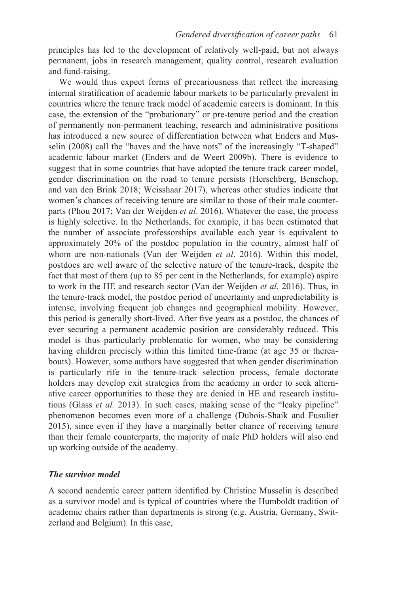principles has led to the development of relatively well-paid, but not always permanent, jobs in research management, quality control, research evaluation and fund-raising.

We would thus expect forms of precariousness that reflect the increasing internal stratification of academic labour markets to be particularly prevalent in countries where the tenure track model of academic careers is dominant. In this case, the extension of the "probationary" or pre-tenure period and the creation of permanently non-permanent teaching, research and administrative positions has introduced a new source of differentiation between what Enders and Musselin (2008) call the "haves and the have nots" of the increasingly "T-shaped" academic labour market (Enders and de Weert 2009b). There is evidence to suggest that in some countries that have adopted the tenure track career model, gender discrimination on the road to tenure persists (Herschberg, Benschop, and van den Brink 2018; Weisshaar 2017), whereas other studies indicate that women's chances of receiving tenure are similar to those of their male counterparts (Phou 2017; Van der Weijden *et al*. 2016). Whatever the case, the process is highly selective. In the Netherlands, for example, it has been estimated that the number of associate professorships available each year is equivalent to approximately 20% of the postdoc population in the country, almost half of whom are non-nationals (Van der Weijden *et al*. 2016). Within this model, postdocs are well aware of the selective nature of the tenure-track, despite the fact that most of them (up to 85 per cent in the Netherlands, for example) aspire to work in the HE and research sector (Van der Weijden *et al*. 2016). Thus, in the tenure-track model, the postdoc period of uncertainty and unpredictability is intense, involving frequent job changes and geographical mobility. However, this period is generally short-lived. After five years as a postdoc, the chances of ever securing a permanent academic position are considerably reduced. This model is thus particularly problematic for women, who may be considering having children precisely within this limited time-frame (at age 35 or thereabouts). However, some authors have suggested that when gender discrimination is particularly rife in the tenure-track selection process, female doctorate holders may develop exit strategies from the academy in order to seek alternative career opportunities to those they are denied in HE and research institutions (Glass *et al.* 2013). In such cases, making sense of the "leaky pipeline" phenomenon becomes even more of a challenge (Dubois-Shaik and Fusulier 2015), since even if they have a marginally better chance of receiving tenure than their female counterparts, the majority of male PhD holders will also end up working outside of the academy.

#### *The survivor model*

A second academic career pattern identified by Christine Musselin is described as a survivor model and is typical of countries where the Humboldt tradition of academic chairs rather than departments is strong (e.g. Austria, Germany, Switzerland and Belgium). In this case,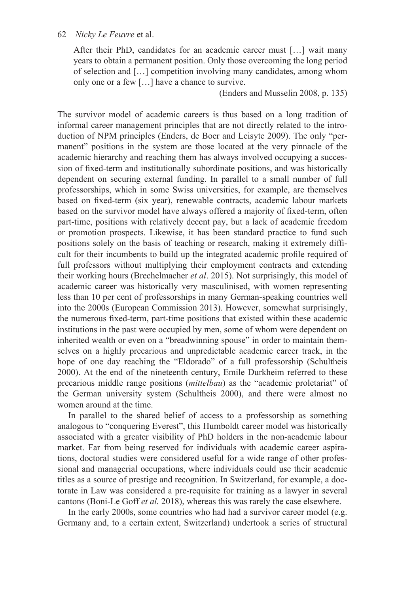After their PhD, candidates for an academic career must […] wait many years to obtain a permanent position. Only those overcoming the long period of selection and […] competition involving many candidates, among whom only one or a few […] have a chance to survive.

(Enders and Musselin 2008, p. 135)

The survivor model of academic careers is thus based on a long tradition of informal career management principles that are not directly related to the introduction of NPM principles (Enders, de Boer and Leisyte 2009). The only "permanent" positions in the system are those located at the very pinnacle of the academic hierarchy and reaching them has always involved occupying a succession of fixed-term and institutionally subordinate positions, and was historically dependent on securing external funding. In parallel to a small number of full professorships, which in some Swiss universities, for example, are themselves based on fixed-term (six year), renewable contracts, academic labour markets based on the survivor model have always offered a majority of fixed-term, often part-time, positions with relatively decent pay, but a lack of academic freedom or promotion prospects. Likewise, it has been standard practice to fund such positions solely on the basis of teaching or research, making it extremely difficult for their incumbents to build up the integrated academic profile required of full professors without multiplying their employment contracts and extending their working hours (Brechelmacher *et al*. 2015). Not surprisingly, this model of academic career was historically very masculinised, with women representing less than 10 per cent of professorships in many German-speaking countries well into the 2000s (European Commission 2013). However, somewhat surprisingly, the numerous fixed-term, part-time positions that existed within these academic institutions in the past were occupied by men, some of whom were dependent on inherited wealth or even on a "breadwinning spouse" in order to maintain themselves on a highly precarious and unpredictable academic career track, in the hope of one day reaching the "Eldorado" of a full professorship (Schultheis 2000). At the end of the nineteenth century, Emile Durkheim referred to these precarious middle range positions (*mittelbau*) as the "academic proletariat" of the German university system (Schultheis 2000), and there were almost no women around at the time.

In parallel to the shared belief of access to a professorship as something analogous to "conquering Everest", this Humboldt career model was historically associated with a greater visibility of PhD holders in the non-academic labour market. Far from being reserved for individuals with academic career aspirations, doctoral studies were considered useful for a wide range of other professional and managerial occupations, where individuals could use their academic titles as a source of prestige and recognition. In Switzerland, for example, a doctorate in Law was considered a pre-requisite for training as a lawyer in several cantons (Boni-Le Goff *et al.* 2018), whereas this was rarely the case elsewhere.

In the early 2000s, some countries who had had a survivor career model (e.g. Germany and, to a certain extent, Switzerland) undertook a series of structural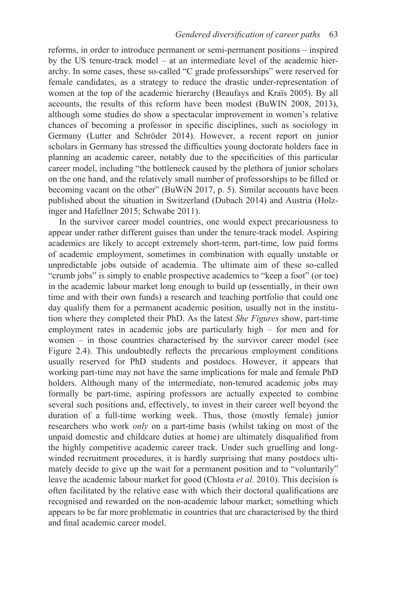reforms, in order to introduce permanent or semi-permanent positions – inspired by the US tenure-track model – at an intermediate level of the academic hierarchy. In some cases, these so-called "C grade professorships" were reserved for female candidates, as a strategy to reduce the drastic under-representation of women at the top of the academic hierarchy (Beaufays and Kraïs 2005). By all accounts, the results of this reform have been modest (BuWIN 2008, 2013), although some studies do show a spectacular improvement in women's relative chances of becoming a professor in specific disciplines, such as sociology in Germany (Lutter and Schröder 2014). However, a recent report on junior scholars in Germany has stressed the difficulties young doctorate holders face in planning an academic career, notably due to the specificities of this particular career model, including "the bottleneck caused by the plethora of junior scholars on the one hand, and the relatively small number of professorships to be filled or becoming vacant on the other" (BuWiN 2017, p. 5). Similar accounts have been published about the situation in Switzerland (Dubach 2014) and Austria (Holzinger and Hafellner 2015; Schwabe 2011).

In the survivor career model countries, one would expect precariousness to appear under rather different guises than under the tenure-track model. Aspiring academics are likely to accept extremely short-term, part-time, low paid forms of academic employment, sometimes in combination with equally unstable or unpredictable jobs outside of academia. The ultimate aim of these so-called "crumb jobs" is simply to enable prospective academics to "keep a foot" (or toe) in the academic labour market long enough to build up (essentially, in their own time and with their own funds) a research and teaching portfolio that could one day qualify them for a permanent academic position, usually not in the institution where they completed their PhD. As the latest *She Figures* show, part-time employment rates in academic jobs are particularly high – for men and for women – in those countries characterised by the survivor career model [\(see](#page--1-0)  [Figure 2.4](#page--1-0)). This undoubtedly reflects the precarious employment conditions usually reserved for PhD students and postdocs. However, it appears that working part-time may not have the same implications for male and female PhD holders. Although many of the intermediate, non-tenured academic jobs may formally be part-time, aspiring professors are actually expected to combine several such positions and, effectively, to invest in their career well beyond the duration of a full-time working week. Thus, those (mostly female) junior researchers who work *only* on a part-time basis (whilst taking on most of the unpaid domestic and childcare duties at home) are ultimately disqualified from the highly competitive academic career track. Under such gruelling and longwinded recruitment procedures, it is hardly surprising that many postdocs ultimately decide to give up the wait for a permanent position and to "voluntarily" leave the academic labour market for good (Chlosta *et al*. 2010). This decision is often facilitated by the relative ease with which their doctoral qualifications are recognised and rewarded on the non-academic labour market; something which appears to be far more problematic in countries that are characterised by the third and final academic career model.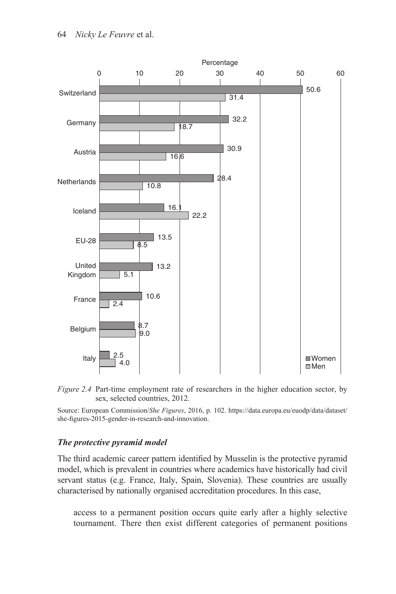



Source: European Commission/*She Figures*, 2016, p. 102. [https://data.europa.eu/euodp/data/dataset/](https://data.europa.eu) [she-figures-2015-gender-in-research-and-innovation.](https://data.europa.eu)

## *The protective pyramid model*

The third academic career pattern identified by Musselin is the protective pyramid model, which is prevalent in countries where academics have historically had civil servant status (e.g. France, Italy, Spain, Slovenia). These countries are usually characterised by nationally organised accreditation procedures. In this case,

access to a permanent position occurs quite early after a highly selective tournament. There then exist different categories of permanent positions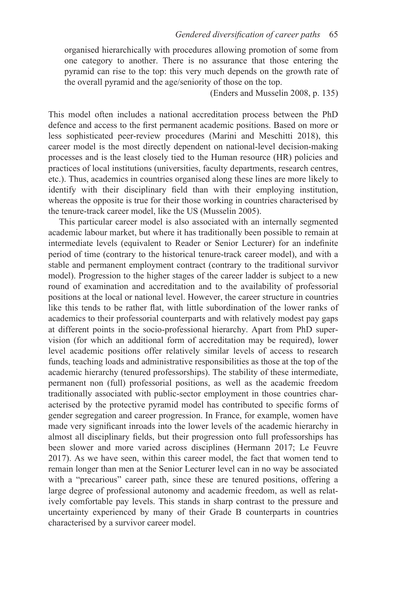organised hierarchically with procedures allowing promotion of some from one category to another. There is no assurance that those entering the pyramid can rise to the top: this very much depends on the growth rate of the overall pyramid and the age/seniority of those on the top.

(Enders and Musselin 2008, p. 135)

This model often includes a national accreditation process between the PhD defence and access to the first permanent academic positions. Based on more or less sophisticated peer-review procedures (Marini and Meschitti 2018), this career model is the most directly dependent on national-level decision-making processes and is the least closely tied to the Human resource (HR) policies and practices of local institutions (universities, faculty departments, research centres, etc.). Thus, academics in countries organised along these lines are more likely to identify with their disciplinary field than with their employing institution, whereas the opposite is true for their those working in countries characterised by the tenure-track career model, like the US (Musselin 2005).

This particular career model is also associated with an internally segmented academic labour market, but where it has traditionally been possible to remain at intermediate levels (equivalent to Reader or Senior Lecturer) for an indefinite period of time (contrary to the historical tenure-track career model), and with a stable and permanent employment contract (contrary to the traditional survivor model). Progression to the higher stages of the career ladder is subject to a new round of examination and accreditation and to the availability of professorial positions at the local or national level. However, the career structure in countries like this tends to be rather flat, with little subordination of the lower ranks of academics to their professorial counterparts and with relatively modest pay gaps at different points in the socio-professional hierarchy. Apart from PhD supervision (for which an additional form of accreditation may be required), lower level academic positions offer relatively similar levels of access to research funds, teaching loads and administrative responsibilities as those at the top of the academic hierarchy (tenured professorships). The stability of these intermediate, permanent non (full) professorial positions, as well as the academic freedom traditionally associated with public-sector employment in those countries characterised by the protective pyramid model has contributed to specific forms of gender segregation and career progression. In France, for example, women have made very significant inroads into the lower levels of the academic hierarchy in almost all disciplinary fields, but their progression onto full professorships has been slower and more varied across disciplines (Hermann 2017; Le Feuvre 2017). As we have seen, within this career model, the fact that women tend to remain longer than men at the Senior Lecturer level can in no way be associated with a "precarious" career path, since these are tenured positions, offering a large degree of professional autonomy and academic freedom, as well as relatively comfortable pay levels. This stands in sharp contrast to the pressure and uncertainty experienced by many of their Grade B counterparts in countries characterised by a survivor career model.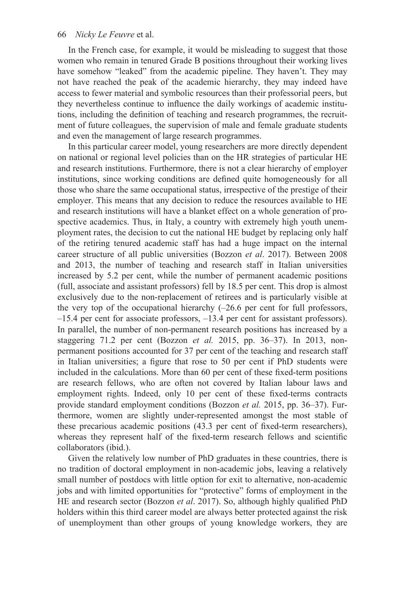In the French case, for example, it would be misleading to suggest that those women who remain in tenured Grade B positions throughout their working lives have somehow "leaked" from the academic pipeline. They haven't. They may not have reached the peak of the academic hierarchy, they may indeed have access to fewer material and symbolic resources than their professorial peers, but they nevertheless continue to influence the daily workings of academic institutions, including the definition of teaching and research programmes, the recruitment of future colleagues, the supervision of male and female graduate students and even the management of large research programmes.

In this particular career model, young researchers are more directly dependent on national or regional level policies than on the HR strategies of particular HE and research institutions. Furthermore, there is not a clear hierarchy of employer institutions, since working conditions are defined quite homogeneously for all those who share the same occupational status, irrespective of the prestige of their employer. This means that any decision to reduce the resources available to HE and research institutions will have a blanket effect on a whole generation of prospective academics. Thus, in Italy, a country with extremely high youth unemployment rates, the decision to cut the national HE budget by replacing only half of the retiring tenured academic staff has had a huge impact on the internal career structure of all public universities (Bozzon *et al*. 2017). Between 2008 and 2013, the number of teaching and research staff in Italian universities increased by 5.2 per cent, while the number of permanent academic positions (full, associate and assistant professors) fell by 18.5 per cent. This drop is almost exclusively due to the non-replacement of retirees and is particularly visible at the very top of the occupational hierarchy  $(-26.6$  per cent for full professors, –15.4 per cent for associate professors, –13.4 per cent for assistant professors). In parallel, the number of non-permanent research positions has increased by a staggering 71.2 per cent (Bozzon *et al.* 2015, pp. 36–37). In 2013, nonpermanent positions accounted for 37 per cent of the teaching and research staff in Italian universities; a figure that rose to 50 per cent if PhD students were included in the calculations. More than 60 per cent of these fixed-term positions are research fellows, who are often not covered by Italian labour laws and employment rights. Indeed, only 10 per cent of these fixed-terms contracts provide standard employment conditions (Bozzon *et al.* 2015, pp. 36–37). Furthermore, women are slightly under-represented amongst the most stable of these precarious academic positions (43.3 per cent of fixed-term researchers), whereas they represent half of the fixed-term research fellows and scientific collaborators (ibid.).

Given the relatively low number of PhD graduates in these countries, there is no tradition of doctoral employment in non-academic jobs, leaving a relatively small number of postdocs with little option for exit to alternative, non-academic jobs and with limited opportunities for "protective" forms of employment in the HE and research sector (Bozzon *et al*. 2017). So, although highly qualified PhD holders within this third career model are always better protected against the risk of unemployment than other groups of young knowledge workers, they are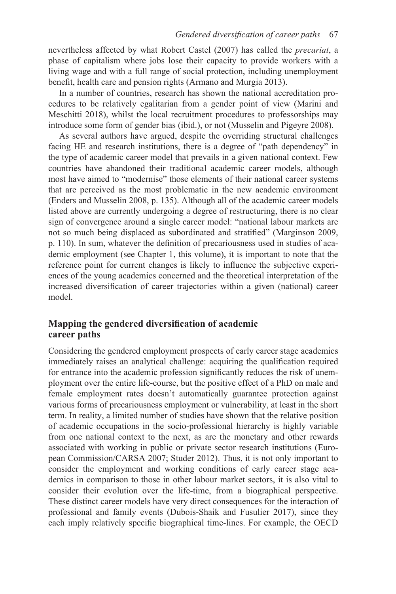nevertheless affected by what Robert Castel (2007) has called the *precariat*, a phase of capitalism where jobs lose their capacity to provide workers with a living wage and with a full range of social protection, including unemployment benefit, health care and pension rights (Armano and Murgia 2013).

In a number of countries, research has shown the national accreditation procedures to be relatively egalitarian from a gender point of view (Marini and Meschitti 2018), whilst the local recruitment procedures to professorships may introduce some form of gender bias (ibid.), or not (Musselin and Pigeyre 2008).

As several authors have argued, despite the overriding structural challenges facing HE and research institutions, there is a degree of "path dependency" in the type of academic career model that prevails in a given national context. Few countries have abandoned their traditional academic career models, although most have aimed to "modernise" those elements of their national career systems that are perceived as the most problematic in the new academic environment (Enders and Musselin 2008, p. 135). Although all of the academic career models listed above are currently undergoing a degree of restructuring, there is no clear sign of convergence around a single career model: "national labour markets are not so much being displaced as subordinated and stratified" (Marginson 2009, p. 110). In sum, whatever the definition of precariousness used in studies of academic employment [\(see Chapter 1,](#page--1-0) this volume), it is important to note that the reference point for current changes is likely to influence the subjective experiences of the young academics concerned and the theoretical interpretation of the increased diversification of career trajectories within a given (national) career model.

# **Mapping the gendered diversification of academic career paths**

Considering the gendered employment prospects of early career stage academics immediately raises an analytical challenge: acquiring the qualification required for entrance into the academic profession significantly reduces the risk of unemployment over the entire life-course, but the positive effect of a PhD on male and female employment rates doesn't automatically guarantee protection against various forms of precariousness employment or vulnerability, at least in the short term. In reality, a limited number of studies have shown that the relative position of academic occupations in the socio-professional hierarchy is highly variable from one national context to the next, as are the monetary and other rewards associated with working in public or private sector research institutions (European Commission/CARSA 2007; Studer 2012). Thus, it is not only important to consider the employment and working conditions of early career stage academics in comparison to those in other labour market sectors, it is also vital to consider their evolution over the life-time, from a biographical perspective. These distinct career models have very direct consequences for the interaction of professional and family events (Dubois-Shaik and Fusulier 2017), since they each imply relatively specific biographical time-lines. For example, the OECD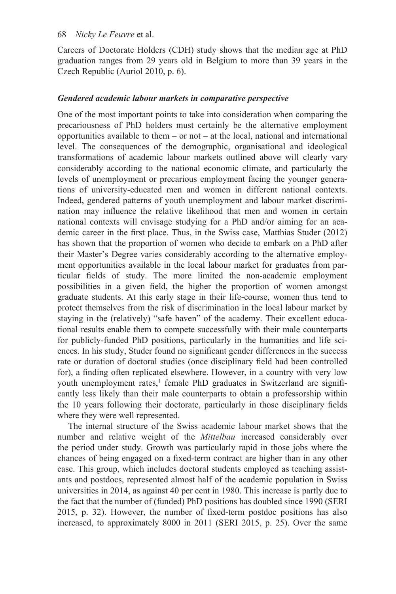Careers of Doctorate Holders (CDH) study shows that the median age at PhD graduation ranges from 29 years old in Belgium to more than 39 years in the Czech Republic (Auriol 2010, p. 6).

## *Gendered academic labour markets in comparative perspective*

One of the most important points to take into consideration when comparing the precariousness of PhD holders must certainly be the alternative employment opportunities available to them – or not – at the local, national and international level. The consequences of the demographic, organisational and ideological transformations of academic labour markets outlined above will clearly vary considerably according to the national economic climate, and particularly the levels of unemployment or precarious employment facing the younger generations of university-educated men and women in different national contexts. Indeed, gendered patterns of youth unemployment and labour market discrimination may influence the relative likelihood that men and women in certain national contexts will envisage studying for a PhD and/or aiming for an academic career in the first place. Thus, in the Swiss case, Matthias Studer (2012) has shown that the proportion of women who decide to embark on a PhD after their Master's Degree varies considerably according to the alternative employment opportunities available in the local labour market for graduates from particular fields of study. The more limited the non-academic employment possibilities in a given field, the higher the proportion of women amongst graduate students. At this early stage in their life-course, women thus tend to protect themselves from the risk of discrimination in the local labour market by staying in the (relatively) "safe haven" of the academy. Their excellent educational results enable them to compete successfully with their male counterparts for publicly-funded PhD positions, particularly in the humanities and life sciences. In his study, Studer found no significant gender differences in the success rate or duration of doctoral studies (once disciplinary field had been controlled for), a finding often replicated elsewhere. However, in a country with very low youth unemployment rates,<sup>1</sup> female PhD graduates in Switzerland are significantly less likely than their male counterparts to obtain a professorship within the 10 years following their doctorate, particularly in those disciplinary fields where they were well represented.

The internal structure of the Swiss academic labour market shows that the number and relative weight of the *Mittelbau* increased considerably over the period under study. Growth was particularly rapid in those jobs where the chances of being engaged on a fixed-term contract are higher than in any other case. This group, which includes doctoral students employed as teaching assistants and postdocs, represented almost half of the academic population in Swiss universities in 2014, as against 40 per cent in 1980. This increase is partly due to the fact that the number of (funded) PhD positions has doubled since 1990 (SERI 2015, p. 32). However, the number of fixed-term postdoc positions has also increased, to approximately 8000 in 2011 (SERI 2015, p. 25). Over the same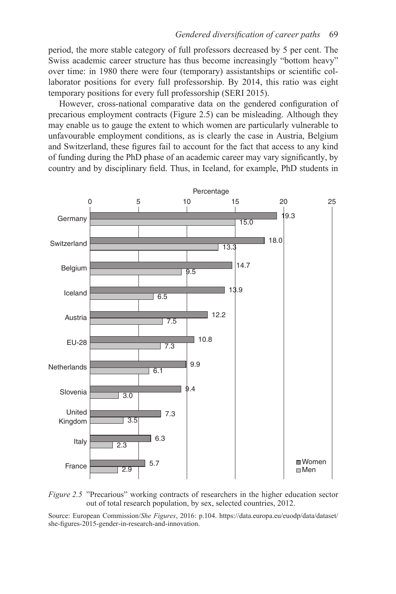period, the more stable category of full professors decreased by 5 per cent. The Swiss academic career structure has thus become increasingly "bottom heavy" over time: in 1980 there were four (temporary) assistantships or scientific collaborator positions for every full professorship. By 2014, this ratio was eight temporary positions for every full professorship (SERI 2015).

However, cross-national comparative data on the gendered configuration of precarious employment contracts [\(Figure 2.5\)](#page--1-0) can be misleading. Although they may enable us to gauge the extent to which women are particularly vulnerable to unfavourable employment conditions, as is clearly the case in Austria, Belgium and Switzerland, these figures fail to account for the fact that access to any kind of funding during the PhD phase of an academic career may vary significantly, by country and by disciplinary field. Thus, in Iceland, for example, PhD students in



*[Figure 2.5](#page--1-0)* "Precarious" working contracts of researchers in the higher education sector out of total research population, by sex, selected countries, 2012.

Source: European Commission/*She Figures*, 2016: p.104. [https://data.europa.eu/euodp/data/dataset/](https://data.europa.eu) [she-figures-2015-gender-in-research-and-innovation](https://data.europa.eu).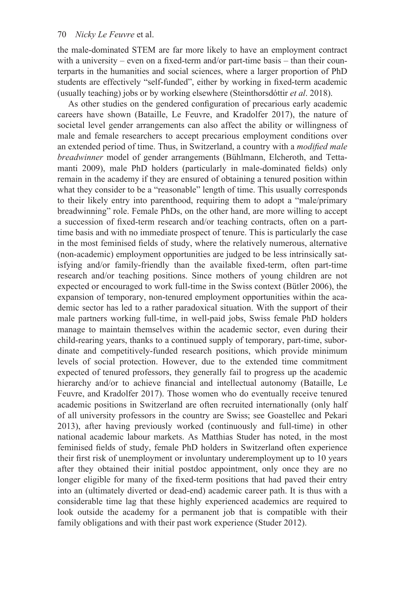the male-dominated STEM are far more likely to have an employment contract with a university – even on a fixed-term and/or part-time basis – than their counterparts in the humanities and social sciences, where a larger proportion of PhD students are effectively "self-funded", either by working in fixed-term academic (usually teaching) jobs or by working elsewhere (Steinthorsdóttir *et al*. 2018).

As other studies on the gendered configuration of precarious early academic careers have shown (Bataille, Le Feuvre, and Kradolfer 2017), the nature of societal level gender arrangements can also affect the ability or willingness of male and female researchers to accept precarious employment conditions over an extended period of time. Thus, in Switzerland, a country with a *modified male breadwinner* model of gender arrangements (Bühlmann, Elcheroth, and Tettamanti 2009), male PhD holders (particularly in male-dominated fields) only remain in the academy if they are ensured of obtaining a tenured position within what they consider to be a "reasonable" length of time. This usually corresponds to their likely entry into parenthood, requiring them to adopt a "male/primary breadwinning" role. Female PhDs, on the other hand, are more willing to accept a succession of fixed-term research and/or teaching contracts, often on a parttime basis and with no immediate prospect of tenure. This is particularly the case in the most feminised fields of study, where the relatively numerous, alternative (non-academic) employment opportunities are judged to be less intrinsically satisfying and/or family-friendly than the available fixed-term, often part-time research and/or teaching positions. Since mothers of young children are not expected or encouraged to work full-time in the Swiss context (Bütler 2006), the expansion of temporary, non-tenured employment opportunities within the academic sector has led to a rather paradoxical situation. With the support of their male partners working full-time, in well-paid jobs, Swiss female PhD holders manage to maintain themselves within the academic sector, even during their child-rearing years, thanks to a continued supply of temporary, part-time, subordinate and competitively-funded research positions, which provide minimum levels of social protection. However, due to the extended time commitment expected of tenured professors, they generally fail to progress up the academic hierarchy and/or to achieve financial and intellectual autonomy (Bataille, Le Feuvre, and Kradolfer 2017). Those women who do eventually receive tenured academic positions in Switzerland are often recruited internationally (only half of all university professors in the country are Swiss; see Goastellec and Pekari 2013), after having previously worked (continuously and full-time) in other national academic labour markets. As Matthias Studer has noted, in the most feminised fields of study, female PhD holders in Switzerland often experience their first risk of unemployment or involuntary underemployment up to 10 years after they obtained their initial postdoc appointment, only once they are no longer eligible for many of the fixed-term positions that had paved their entry into an (ultimately diverted or dead-end) academic career path. It is thus with a considerable time lag that these highly experienced academics are required to look outside the academy for a permanent job that is compatible with their family obligations and with their past work experience (Studer 2012).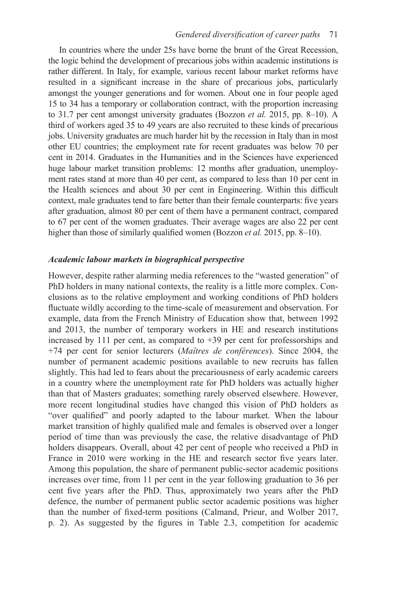In countries where the under 25s have borne the brunt of the Great Recession, the logic behind the development of precarious jobs within academic institutions is rather different. In Italy, for example, various recent labour market reforms have resulted in a significant increase in the share of precarious jobs, particularly amongst the younger generations and for women. About one in four people aged 15 to 34 has a temporary or collaboration contract, with the proportion increasing to 31.7 per cent amongst university graduates (Bozzon *et al.* 2015, pp. 8–10). A third of workers aged 35 to 49 years are also recruited to these kinds of precarious jobs. University graduates are much harder hit by the recession in Italy than in most other EU countries; the employment rate for recent graduates was below 70 per cent in 2014. Graduates in the Humanities and in the Sciences have experienced huge labour market transition problems: 12 months after graduation, unemployment rates stand at more than 40 per cent, as compared to less than 10 per cent in the Health sciences and about 30 per cent in Engineering. Within this difficult context, male graduates tend to fare better than their female counterparts: five years after graduation, almost 80 per cent of them have a permanent contract, compared to 67 per cent of the women graduates. Their average wages are also 22 per cent higher than those of similarly qualified women (Bozzon *et al.* 2015, pp. 8–10).

#### *Academic labour markets in biographical perspective*

However, despite rather alarming media references to the "wasted generation" of PhD holders in many national contexts, the reality is a little more complex. Conclusions as to the relative employment and working conditions of PhD holders fluctuate wildly according to the time-scale of measurement and observation. For example, data from the French Ministry of Education show that, between 1992 and 2013, the number of temporary workers in HE and research institutions increased by 111 per cent, as compared to  $+39$  per cent for professorships and +74 per cent for senior lecturers (*Maîtres de conférences*). Since 2004, the number of permanent academic positions available to new recruits has fallen slightly. This had led to fears about the precariousness of early academic careers in a country where the unemployment rate for PhD holders was actually higher than that of Masters graduates; something rarely observed elsewhere. However, more recent longitudinal studies have changed this vision of PhD holders as "over qualified" and poorly adapted to the labour market. When the labour market transition of highly qualified male and females is observed over a longer period of time than was previously the case, the relative disadvantage of PhD holders disappears. Overall, about 42 per cent of people who received a PhD in France in 2010 were working in the HE and research sector five years later. Among this population, the share of permanent public-sector academic positions increases over time, from 11 per cent in the year following graduation to 36 per cent five years after the PhD. Thus, approximately two years after the PhD defence, the number of permanent public sector academic positions was higher than the number of fixed-term positions (Calmand, Prieur, and Wolber 2017, p. 2). As suggested by the figures in [Table 2.3](#page--1-0), competition for academic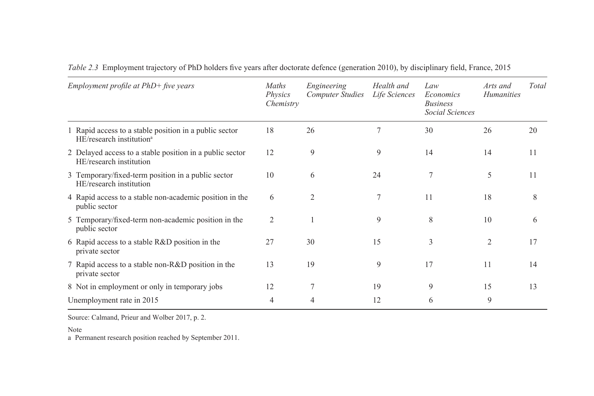| Employment profile at $PhD+$ five years |                                                                                                | Maths<br><i>Physics</i><br>Chemistry | Engineering<br><b>Computer Studies</b> | Health and<br>Life Sciences | Law<br>Economics<br><b>Business</b><br>Social Sciences | Arts and<br><b>Humanities</b> | Total |
|-----------------------------------------|------------------------------------------------------------------------------------------------|--------------------------------------|----------------------------------------|-----------------------------|--------------------------------------------------------|-------------------------------|-------|
|                                         | 1 Rapid access to a stable position in a public sector<br>HE/research institution <sup>a</sup> | 18                                   | 26                                     | $\tau$                      | 30                                                     | 26                            | 20    |
|                                         | 2 Delayed access to a stable position in a public sector<br>HE/research institution            | 12                                   | 9                                      | 9                           | 14                                                     | 14                            | 11    |
|                                         | 3 Temporary/fixed-term position in a public sector<br>HE/research institution                  | 10                                   | 6                                      | 24                          | 7                                                      | 5                             | 11    |
|                                         | 4 Rapid access to a stable non-academic position in the<br>public sector                       | 6                                    | $\overline{c}$                         | 7                           | 11                                                     | 18                            | 8     |
|                                         | 5 Temporary/fixed-term non-academic position in the<br>public sector                           | 2                                    |                                        | 9                           | 8                                                      | 10                            | 6     |
|                                         | 6 Rapid access to a stable R&D position in the<br>private sector                               | 27                                   | 30                                     | 15                          | 3                                                      | $\overline{2}$                | 17    |
|                                         | 7 Rapid access to a stable non-R&D position in the<br>private sector                           | 13                                   | 19                                     | 9                           | 17                                                     | 11                            | 14    |
|                                         | 8 Not in employment or only in temporary jobs                                                  | 12                                   | $\tau$                                 | 19                          | 9                                                      | 15                            | 13    |
|                                         | Unemployment rate in 2015                                                                      | 4                                    | 4                                      | 12                          | 6                                                      | 9                             |       |

*[Table 2.3](#page--1-0)* Employment trajectory of PhD holders five years after doctorate defence (generation 2010), by disciplinary field, France, 2015

Source: Calmand, Prieur and Wolber 2017, p. 2.

Note

a Permanent research position reached by September 2011.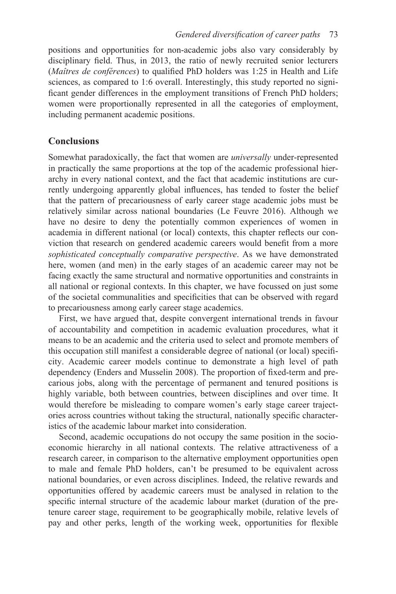positions and opportunities for non-academic jobs also vary considerably by disciplinary field. Thus, in 2013, the ratio of newly recruited senior lecturers (*Maîtres de conférences*) to qualified PhD holders was 1:25 in Health and Life sciences, as compared to 1:6 overall. Interestingly, this study reported no significant gender differences in the employment transitions of French PhD holders; women were proportionally represented in all the categories of employment, including permanent academic positions.

# **Conclusions**

Somewhat paradoxically, the fact that women are *universally* under-represented in practically the same proportions at the top of the academic professional hierarchy in every national context, and the fact that academic institutions are currently undergoing apparently global influences, has tended to foster the belief that the pattern of precariousness of early career stage academic jobs must be relatively similar across national boundaries (Le Feuvre 2016). Although we have no desire to deny the potentially common experiences of women in academia in different national (or local) contexts, this chapter reflects our conviction that research on gendered academic careers would benefit from a more *sophisticated conceptually comparative perspective*. As we have demonstrated here, women (and men) in the early stages of an academic career may not be facing exactly the same structural and normative opportunities and constraints in all national or regional contexts. In this chapter, we have focussed on just some of the societal communalities and specificities that can be observed with regard to precariousness among early career stage academics.

First, we have argued that, despite convergent international trends in favour of accountability and competition in academic evaluation procedures, what it means to be an academic and the criteria used to select and promote members of this occupation still manifest a considerable degree of national (or local) specificity. Academic career models continue to demonstrate a high level of path dependency (Enders and Musselin 2008). The proportion of fixed-term and precarious jobs, along with the percentage of permanent and tenured positions is highly variable, both between countries, between disciplines and over time. It would therefore be misleading to compare women's early stage career trajectories across countries without taking the structural, nationally specific characteristics of the academic labour market into consideration.

Second, academic occupations do not occupy the same position in the socioeconomic hierarchy in all national contexts. The relative attractiveness of a research career, in comparison to the alternative employment opportunities open to male and female PhD holders, can't be presumed to be equivalent across national boundaries, or even across disciplines. Indeed, the relative rewards and opportunities offered by academic careers must be analysed in relation to the specific internal structure of the academic labour market (duration of the pretenure career stage, requirement to be geographically mobile, relative levels of pay and other perks, length of the working week, opportunities for flexible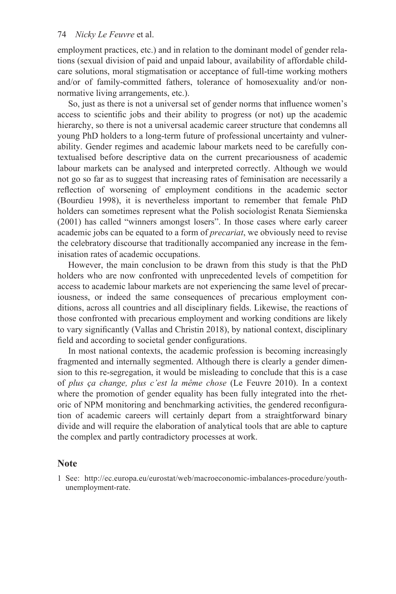employment practices, etc.) and in relation to the dominant model of gender relations (sexual division of paid and unpaid labour, availability of affordable childcare solutions, moral stigmatisation or acceptance of full-time working mothers and/or of family-committed fathers, tolerance of homosexuality and/or nonnormative living arrangements, etc.).

So, just as there is not a universal set of gender norms that influence women's access to scientific jobs and their ability to progress (or not) up the academic hierarchy, so there is not a universal academic career structure that condemns all young PhD holders to a long-term future of professional uncertainty and vulnerability. Gender regimes and academic labour markets need to be carefully contextualised before descriptive data on the current precariousness of academic labour markets can be analysed and interpreted correctly. Although we would not go so far as to suggest that increasing rates of feminisation are necessarily a reflection of worsening of employment conditions in the academic sector (Bourdieu 1998), it is nevertheless important to remember that female PhD holders can sometimes represent what the Polish sociologist Renata Siemienska (2001) has called "winners amongst losers". In those cases where early career academic jobs can be equated to a form of *precariat*, we obviously need to revise the celebratory discourse that traditionally accompanied any increase in the feminisation rates of academic occupations.

However, the main conclusion to be drawn from this study is that the PhD holders who are now confronted with unprecedented levels of competition for access to academic labour markets are not experiencing the same level of precariousness, or indeed the same consequences of precarious employment conditions, across all countries and all disciplinary fields. Likewise, the reactions of those confronted with precarious employment and working conditions are likely to vary significantly (Vallas and Christin 2018), by national context, disciplinary field and according to societal gender configurations.

In most national contexts, the academic profession is becoming increasingly fragmented and internally segmented. Although there is clearly a gender dimension to this re-segregation, it would be misleading to conclude that this is a case of *plus ça change, plus c'est la même chose* (Le Feuvre 2010). In a context where the promotion of gender equality has been fully integrated into the rhetoric of NPM monitoring and benchmarking activities, the gendered reconfiguration of academic careers will certainly depart from a straightforward binary divide and will require the elaboration of analytical tools that are able to capture the complex and partly contradictory processes at work.

## **Note**

[1](#page--1-0) See: [http://ec.europa.eu/eurostat/web/macroeconomic-imbalances-procedure/youth](http://ec.europa.eu)[unemployment-rate](http://ec.europa.eu).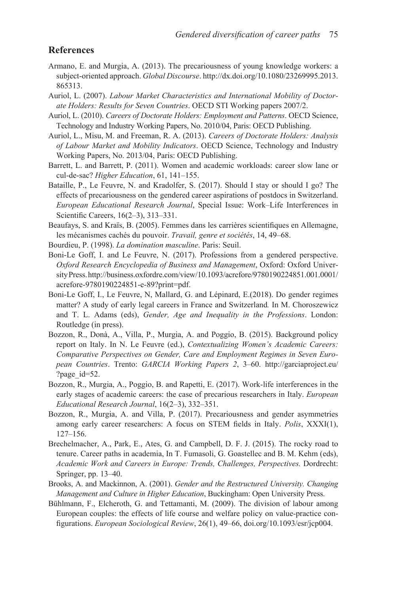# **References**

- Armano, E. and Murgia, A. (2013). The precariousness of young knowledge workers: a subject-oriented approach. *Global Discourse*. [http://dx.doi.org/10.1080/23269995.2013.](http://dx.doi.org) [865313](http://dx.doi.org).
- Auriol, L. (2007). *Labour Market Characteristics and International Mobility of Doctorate Holders: Results for Seven Countries*. OECD STI Working papers 2007/2.
- Auriol, L. (2010). *Careers of Doctorate Holders: Employment and Patterns*. OECD Science, Technology and Industry Working Papers, No. 2010/04, Paris: OECD Publishing.
- Auriol, L., Misu, M. and Freeman, R. A. (2013). *Careers of Doctorate Holders: Analysis of Labour Market and Mobility Indicators*. OECD Science, Technology and Industry Working Papers, No. 2013/04, Paris: OECD Publishing.
- Barrett, L. and Barrett, P. (2011). Women and academic workloads: career slow lane or cul-de-sac? *Higher Education*, 61, 141–155.
- Bataille, P., Le Feuvre, N. and Kradolfer, S. (2017). Should I stay or should I go? The effects of precariousness on the gendered career aspirations of postdocs in Switzerland. *European Educational Research Journal*, Special Issue: Work–Life Interferences in Scientific Careers, 16(2–3), 313–331.
- Beaufays, S. and Kraïs, B. (2005). Femmes dans les carrières scientifiques en Allemagne, les mécanismes cachés du pouvoir. *Travail, genre et sociétés*, 14, 49–68.
- Bourdieu, P. (1998). *La domination masculine*. Paris: Seuil.
- Boni-Le Goff, I. and Le Feuvre, N. (2017). Professions from a gendered perspective. *Oxford Research Encyclopedia of Business and Management*, Oxford: Oxford University Press. [http://business.oxfordre.com/view/10.1093/acrefore/9780190224851.001.0001/](http://business.oxfordre.com) [acrefore-9780190224851-e-89?print=pdf.](http://business.oxfordre.com)
- Boni-Le Goff, I., Le Feuvre, N, Mallard, G. and Lépinard, E.(2018). Do gender regimes matter? A study of early legal careers in France and Switzerland*.* In M. Choroszewicz and T. L. Adams (eds), *Gender, Age and Inequality in the Professions*. London: Routledge (in press).
- Bozzon, R., Donà, A., Villa, P., Murgia, A. and Poggio, B. (2015). Background policy report on Italy. In N. Le Feuvre (ed.), *Contextualizing Women's Academic Careers: Comparative Perspectives on Gender, Care and Employment Regimes in Seven European Countries*. Trento: *GARCIA Working Papers 2*, 3–60. [http://garciaproject.eu/](http://garciaproject.eu) [?page\\_id=52](http://garciaproject.eu).
- Bozzon, R., Murgia, A., Poggio, B. and Rapetti, E. (2017). Work-life interferences in the early stages of academic careers: the case of precarious researchers in Italy. *European Educational Research Journal*, 16(2–3), 332–351.
- Bozzon, R., Murgia, A. and Villa, P. (2017). Precariousness and gender asymmetries among early career researchers: A focus on STEM fields in Italy. *Polis*, XXXI(1), 127–156.
- Brechelmacher, A., Park, E., Ates, G. and Campbell, D. F. J. (2015). The rocky road to tenure. Career paths in academia, In T. Fumasoli, G. Goastellec and B. M. Kehm (eds), *Academic Work and Careers in Europe: Trends, Challenges, Perspectives.* Dordrecht: Springer, pp. 13–40.
- Brooks, A. and Mackinnon, A. (2001). *Gender and the Restructured University. Changing Management and Culture in Higher Education*, Buckingham: Open University Press.
- Bühlmann, F., Elcheroth, G. and Tettamanti, M. (2009). The division of labour among European couples: the effects of life course and welfare policy on value-practice configurations. *European Sociological Review*, 26(1), 49–66, [doi.org/10.1093/esr/jcp004.](http://www.doi.org)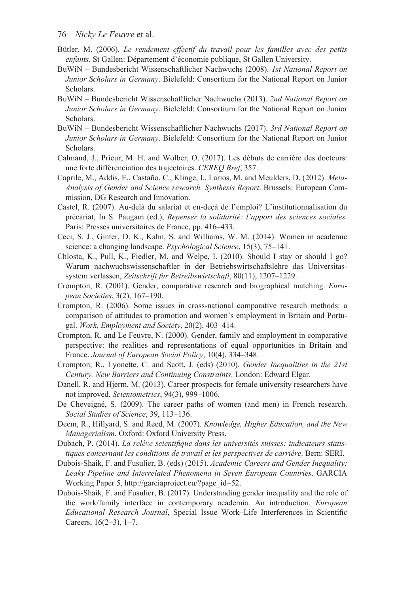- Bütler, M. (2006). *Le rendement effectif du travail pour les familles avec des petits enfants*. St Gallen: Département d'économie publique, St Gallen University.
- BuWiN Bundesbericht Wissenschaftlicher Nachwuchs (2008). *1st National Report on Junior Scholars in Germany*. Bielefeld: Consortium for the National Report on Junior Scholars.
- BuWiN Bundesbericht Wissenschaftlicher Nachwuchs (2013). *2nd National Report on Junior Scholars in Germany*. Bielefeld: Consortium for the National Report on Junior Scholars.
- BuWiN Bundesbericht Wissenschaftlicher Nachwuchs (2017). *3rd National Report on Junior Scholars in Germany*. Bielefeld: Consortium for the National Report on Junior Scholars.
- Calmand, J., Prieur, M. H. and Wolber, O. (2017). Les débuts de carrière des docteurs: une forte différenciation des trajectoires. *CEREQ Bref*, 357.
- Caprile, M., Addis, E., Castaño, C., Klinge, I., Larios, M. and Meulders, D. (2012). *Meta-Analysis of Gender and Science research. Synthesis Report*. Brussels: European Commission, DG Research and Innovation.
- Castel, R. (2007). Au-delà du salariat et en-deçà de l'emploi? L'institutionnalisation du précariat, In S. Paugam (ed.), *Repenser la solidarité: l'apport des sciences sociales.* Paris: Presses universitaires de France, pp. 416–433.
- Ceci, S. J., Ginter, D. K., Kahn, S. and Williams, W. M. (2014). Women in academic science: a changing landscape. *Psychological Science*, 15(3), 75–141.
- Chlosta, K., Pull, K., Fiedler, M. and Welpe, I. (2010). Should I stay or should I go? Warum nachwuchswissenschaftler in der Betriebswirtschaftslehre das Universitassystem verlassen, *Zeitschrift fur Betreibswirtschaft*, 80(11), 1207–1229.
- Crompton, R. (2001). Gender, comparative research and biographical matching. *European Societies*, 3(2), 167–190.
- Crompton, R. (2006). Some issues in cross-national comparative research methods: a comparison of attitudes to promotion and women's employment in Britain and Portugal. *Work, Employment and Society*, 20(2), 403–414.
- Crompton, R. and Le Feuvre, N. (2000). Gender, family and employment in comparative perspective: the realities and representations of equal opportunities in Britain and France. *Journal of European Social Policy*, 10(4), 334–348.
- Crompton, R., Lyonette, C. and Scott, J. (eds) (2010). *Gender Inequalities in the 21st Century. New Barriers and Continuing Constraints*. London: Edward Elgar.
- Danell, R. and Hjerm, M. (2013). Career prospects for female university researchers have not improved. *Scientometrics*, 94(3), 999–1006.
- De Cheveigné, S. (2009). The career paths of women (and men) in French research. *Social Studies of Science*, 39, 113–136.
- Deem, R., Hillyard, S. and Reed, M. (2007). *Knowledge, Higher Education, and the New Managerialism*. Oxford: Oxford University Press.
- Dubach, P. (2014). *La relève scientifique dans les universités suisses: indicateurs statistiques concernant les conditions de travail et les perspectives de carrière*. Bern: SERI.
- Dubois-Shaik, F. and Fusulier, B. (eds) (2015). *Academic Careers and Gender Inequality: Leaky Pipeline and Interrelated Phenomena in Seven European Countries*. GARCIA Working Paper 5, [http://garciaproject.eu/?page\\_id=52.](http://garciaproject.eu)
- Dubois-Shaik, F. and Fusulier, B. (2017). Understanding gender inequality and the role of the work/family interface in contemporary academia. An introduction. *European Educational Research Journal*, Special Issue Work–Life Interferences in Scientific Careers, 16(2–3), 1–7.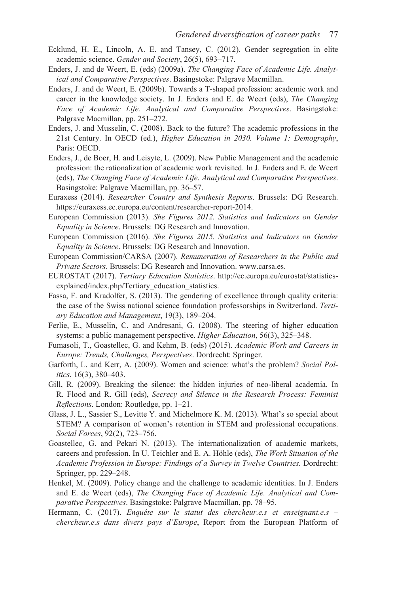- Ecklund, H. E., Lincoln, A. E. and Tansey, C. (2012). Gender segregation in elite academic science. *Gender and Society*, 26(5), 693–717.
- Enders, J. and de Weert, E. (eds) (2009a). *The Changing Face of Academic Life. Analytical and Comparative Perspectives*. Basingstoke: Palgrave Macmillan.
- Enders, J. and de Weert, E. (2009b). Towards a T-shaped profession: academic work and career in the knowledge society. In J. Enders and E. de Weert (eds), *The Changing Face of Academic Life. Analytical and Comparative Perspectives*. Basingstoke: Palgrave Macmillan, pp. 251–272.
- Enders, J. and Musselin, C. (2008). Back to the future? The academic professions in the 21st Century. In OECD (ed.), *Higher Education in 2030. Volume 1: Demography*, Paris: OECD.
- Enders, J., de Boer, H. and Leisyte, L. (2009). New Public Management and the academic profession: the rationalization of academic work revisited. In J. Enders and E. de Weert (eds), *The Changing Face of Academic Life. Analytical and Comparative Perspectives*. Basingstoke: Palgrave Macmillan, pp. 36–57.
- Euraxess (2014). *Researcher Country and Synthesis Reports*. Brussels: DG Research. [https://euraxess.ec.europa.eu/content/researcher-report-2014.](https://euraxess.ec.europa.eu)
- European Commission (2013). *She Figures 2012. Statistics and Indicators on Gender Equality in Science*. Brussels: DG Research and Innovation.
- European Commission (2016). *She Figures 2015. Statistics and Indicators on Gender Equality in Science*. Brussels: DG Research and Innovation.
- European Commission/CARSA (2007). *Remuneration of Researchers in the Public and Private Sectors*. Brussels: DG Research and Innovation. [www.carsa.es](http://www.carsa.es).
- EUROSTAT (2017). *Tertiary Education Statistics*. [http://ec.europa.eu/eurostat/statistics](http://ec.europa.eu)[explained/index.php/Tertiary\\_education\\_statistics](http://ec.europa.eu).
- Fassa, F. and Kradolfer, S. (2013). The gendering of excellence through quality criteria: the case of the Swiss national science foundation professorships in Switzerland. *Tertiary Education and Management*, 19(3), 189–204.
- Ferlie, E., Musselin, C. and Andresani, G. (2008). The steering of higher education systems: a public management perspective. *Higher Education*, 56(3), 325–348.
- Fumasoli, T., Goastellec, G. and Kehm, B. (eds) (2015). *Academic Work and Careers in Europe: Trends, Challenges, Perspectives*. Dordrecht: Springer.
- Garforth, L. and Kerr, A. (2009). Women and science: what's the problem? *Social Politics*, 16(3), 380–403.
- Gill, R. (2009). Breaking the silence: the hidden injuries of neo-liberal academia. In R. Flood and R. Gill (eds), *Secrecy and Silence in the Research Process: Feminist Reflections*. London: Routledge, pp. 1–21.
- Glass, J. L., Sassier S., Levitte Y. and Michelmore K. M. (2013). What's so special about STEM? A comparison of women's retention in STEM and professional occupations. *Social Forces*, 92(2), 723–756.
- Goastellec, G. and Pekari N. (2013). The internationalization of academic markets, careers and profession. In U. Teichler and E. A. Höhle (eds), *The Work Situation of the Academic Profession in Europe: Findings of a Survey in Twelve Countries.* Dordrecht: Springer, pp. 229–248.
- Henkel, M. (2009). Policy change and the challenge to academic identities. In J. Enders and E. de Weert (eds), *The Changing Face of Academic Life. Analytical and Comparative Perspectives*. Basingstoke: Palgrave Macmillan, pp. 78–95.
- Hermann, C. (2017). *Enquête sur le statut des chercheur.e.s et enseignant.e.s chercheur.e.s dans divers pays d'Europe*, Report from the European Platform of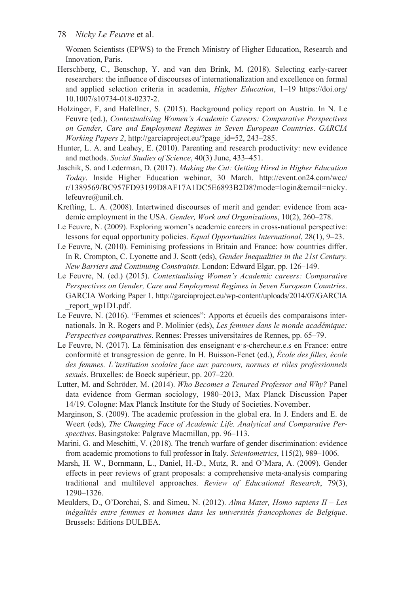Women Scientists (EPWS) to the French Ministry of Higher Education, Research and Innovation, Paris.

- Herschberg, C., Benschop, Y. and van den Brink, M. (2018). Selecting early-career researchers: the influence of discourses of internationalization and excellence on formal and applied selection criteria in academia, *Higher Education*, 1–19 [https://doi.org/](https://doi.org) [10.1007/s10734-018-0237-2.](https://doi.org)
- Holzinger, F, and Hafellner, S. (2015). Background policy report on Austria. In N. Le Feuvre (ed.), *Contextualising Women's Academic Careers: Comparative Perspectives on Gender, Care and Employment Regimes in Seven European Countries*. *GARCIA Working Papers 2*, [http://garciaproject.eu/?page\\_id=52,](http://garciaproject.eu) 243–285.
- Hunter, L. A. and Leahey, E. (2010). Parenting and research productivity: new evidence and methods. *Social Studies of Science*, 40(3) June, 433–451.
- Jaschik, S. and Lederman, D. (2017). *Making the Cut: Getting Hired in Higher Education Today*. Inside Higher Education webinar, 30 March. [http://event.on24.com/wcc/](http://event.on24.com) [r/1389569/BC957FD93199D8AF17A1DC5E6893B2D8?mode=login&email=nicky.](http://event.on24.com) [lefeuvre@unil.ch](http://event.on24.com).
- Krefting, L. A. (2008). Intertwined discourses of merit and gender: evidence from academic employment in the USA. *Gender, Work and Organizations*, 10(2), 260–278.
- Le Feuvre, N. (2009). Exploring women's academic careers in cross-national perspective: lessons for equal opportunity policies. *Equal Opportunities International*, 28(1), 9–23.
- Le Feuvre, N. (2010). Feminising professions in Britain and France: how countries differ. In R. Crompton, C. Lyonette and J. Scott (eds), *Gender Inequalities in the 21st Century. New Barriers and Continuing Constraints*. London: Edward Elgar, pp. 126–149.
- Le Feuvre, N. (ed.) (2015). *Contextualising Women's Academic careers: Comparative Perspectives on Gender, Care and Employment Regimes in Seven European Countries*. GARCIA Working Paper 1. [http://garciaproject.eu/wp-content/uploads/2014/07/GARCIA](http://garciaproject.eu) report\_wp1D1.pdf.
- Le Feuvre, N. (2016). "Femmes et sciences": Apports et écueils des comparaisons internationals. In R. Rogers and P. Molinier (eds), *Les femmes dans le monde académique: Perspectives comparatives*. Rennes: Presses universitaires de Rennes, pp. 65–79.
- Le Feuvre, N. (2017). La féminisation des enseignant e-s-chercheur.e.s en France: entre conformité et transgression de genre. In H. Buisson-Fenet (ed.), *École des filles, école des femmes. L'institution scolaire face aux parcours, normes et rôles professionnels sexués*. Bruxelles: de Boeck supérieur, pp. 207–220.
- Lutter, M. and Schröder, M. (2014). *Who Becomes a Tenured Professor and Why?* Panel data evidence from German sociology, 1980–2013, Max Planck Discussion Paper 14/19. Cologne: Max Planck Institute for the Study of Societies. November.
- Marginson, S. (2009). The academic profession in the global era. In J. Enders and E. de Weert (eds), *The Changing Face of Academic Life. Analytical and Comparative Perspectives*. Basingstoke: Palgrave Macmillan, pp. 96–113.
- Marini, G. and Meschitti, V. (2018). The trench warfare of gender discrimination: evidence from academic promotions to full professor in Italy. *Scientometrics*, 115(2), 989–1006.
- Marsh, H. W., Bornmann, L., Daniel, H.-D., Mutz, R. and O'Mara, A. (2009). Gender effects in peer reviews of grant proposals: a comprehensive meta-analysis comparing traditional and multilevel approaches. *Review of Educational Research*, 79(3), 1290–1326.
- Meulders, D., O'Dorchai, S. and Simeu, N. (2012). *Alma Mater, Homo sapiens II Les inégalités entre femmes et hommes dans les universités francophones de Belgique*. Brussels: Editions DULBEA.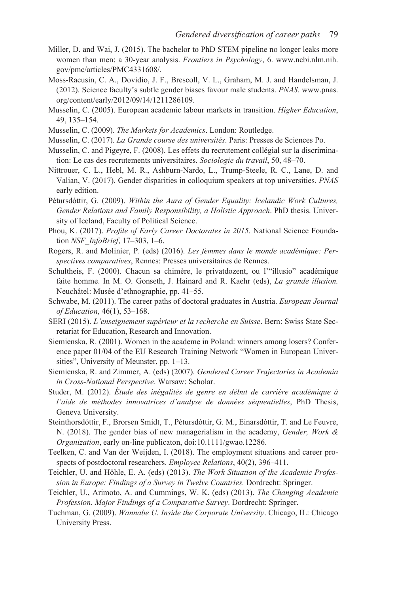- Miller, D. and Wai, J. (2015). The bachelor to PhD STEM pipeline no longer leaks more women than men: a 30-year analysis. *Frontiers in Psychology*, 6. [www.ncbi.nlm.nih.](http://www.ncbi.nlm.nih.gov) [gov/pmc/articles/PMC4331608/.](http://www.ncbi.nlm.nih.gov)
- Moss-Racusin, C. A., Dovidio, J. F., Brescoll, V. L., Graham, M. J. and Handelsman, J. (2012). Science faculty's subtle gender biases favour male students. *PNAS*. [www.pnas.](http://www.pnas.org) [org/content/early/2012/09/14/1211286109.](http://www.pnas.org)
- Musselin, C. (2005). European academic labour markets in transition. *Higher Education*, 49, 135–154.
- Musselin, C. (2009). *The Markets for Academics*. London: Routledge.
- Musselin, C. (2017). *La Grande course des universités*. Paris: Presses de Sciences Po.
- Musselin, C. and Pigeyre, F. (2008). Les effets du recrutement collégial sur la discrimination: Le cas des recrutements universitaires. *Sociologie du travail*, 50, 48–70.
- Nittrouer, C. L., Hebl, M. R., Ashburn-Nardo, L., Trump-Steele, R. C., Lane, D. and Valian, V. (2017). Gender disparities in colloquium speakers at top universities. *PNAS*  early edition.
- Pétursdóttir, G. (2009). *Within the Aura of Gender Equality: Icelandic Work Cultures, Gender Relations and Family Responsibility, a Holistic Approach*. PhD thesis. University of Iceland, Faculty of Political Science.
- Phou, K. (2017). *Profile of Early Career Doctorates in 2015*. National Science Foundation *NSF\_InfoBrief*, 17–303, 1–6.
- Rogers, R. and Molinier, P. (eds) (2016). *Les femmes dans le monde académique: Perspectives comparatives*, Rennes: Presses universitaires de Rennes.
- Schultheis, F. (2000). Chacun sa chimère, le privatdozent, ou l'"illusio" académique faite homme. In M. O. Gonseth, J. Hainard and R. Kaehr (eds), *La grande illusion.* Neuchâtel: Musée d'ethnographie, pp. 41–55.
- Schwabe, M. (2011). The career paths of doctoral graduates in Austria. *European Journal of Education*, 46(1), 53–168.
- SERI (2015). *L'enseignement supérieur et la recherche en Suisse*. Bern: Swiss State Secretariat for Education, Research and Innovation.
- Siemienska, R. (2001). Women in the academe in Poland: winners among losers? Conference paper 01/04 of the EU Research Training Network "Women in European Universities", University of Meunster, pp. 1–13.
- Siemienska, R. and Zimmer, A. (eds) (2007). *Gendered Career Trajectories in Academia in Cross-National Perspective*. Warsaw: Scholar.
- Studer, M. (2012). *Étude des inégalités de genre en début de carrière académique à l'aide de méthodes innovatrices d'analyse de données séquentielles*, PhD Thesis, Geneva University.
- Steinthorsdóttir, F., Brorsen Smidt, T., Pétursdóttir, G. M., Einarsdóttir, T. and Le Feuvre, N. (2018). The gender bias of new managerialism in the academy, *Gender, Work & Organization*, early on-line publicaton, doi:10.1111/gwao.12286.
- Teelken, C. and Van der Weijden, I. (2018). The employment situations and career prospects of postdoctoral researchers. *Employee Relations*, 40(2), 396–411.
- Teichler, U. and Höhle, E. A. (eds) (2013). *The Work Situation of the Academic Profession in Europe: Findings of a Survey in Twelve Countries.* Dordrecht: Springer.
- Teichler, U., Arimoto, A. and Cummings, W. K. (eds) (2013). *The Changing Academic Profession. Major Findings of a Comparative Survey*. Dordrecht: Springer.
- Tuchman, G. (2009). *Wannabe U. Inside the Corporate University*. Chicago, IL: Chicago University Press.